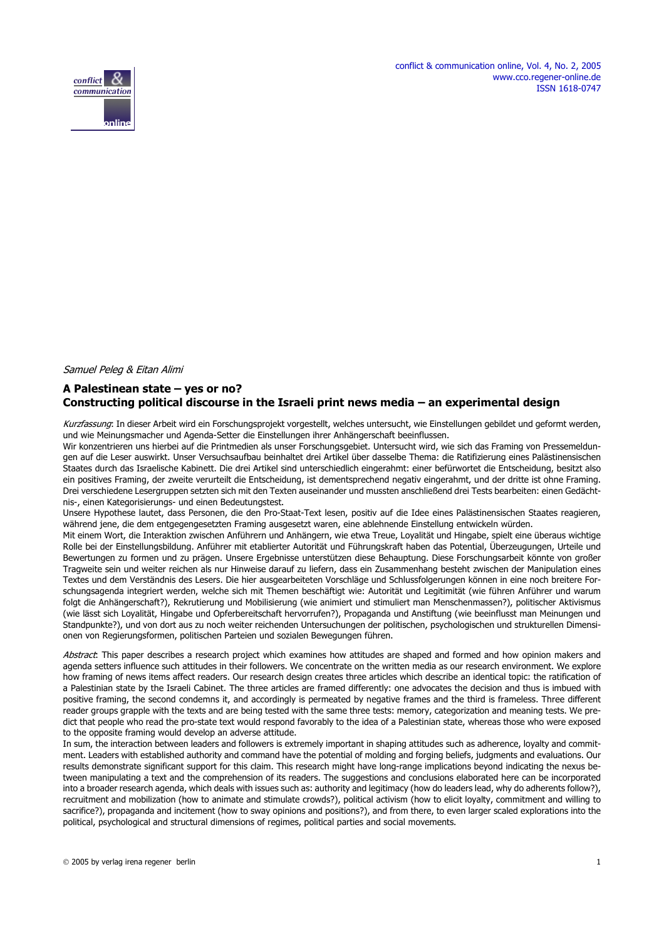

#### Samuel Peleg & Eitan Alimi

# **A Palestinean state – yes or no? Constructing political discourse in the Israeli print news media – an experimental design**

Kurzfassung: In dieser Arbeit wird ein Forschungsprojekt vorgestellt, welches untersucht, wie Einstellungen gebildet und geformt werden, und wie Meinungsmacher und Agenda-Setter die Einstellungen ihrer Anhängerschaft beeinflussen.

Wir konzentrieren uns hierbei auf die Printmedien als unser Forschungsgebiet. Untersucht wird, wie sich das Framing von Pressemeldungen auf die Leser auswirkt. Unser Versuchsaufbau beinhaltet drei Artikel über dasselbe Thema: die Ratifizierung eines Palästinensischen Staates durch das Israelische Kabinett. Die drei Artikel sind unterschiedlich eingerahmt: einer befürwortet die Entscheidung, besitzt also ein positives Framing, der zweite verurteilt die Entscheidung, ist dementsprechend negativ eingerahmt, und der dritte ist ohne Framing. Drei verschiedene Lesergruppen setzten sich mit den Texten auseinander und mussten anschließend drei Tests bearbeiten: einen Gedächtnis-, einen Kategorisierungs- und einen Bedeutungstest.

Unsere Hypothese lautet, dass Personen, die den Pro-Staat-Text lesen, positiv auf die Idee eines Palästinensischen Staates reagieren, während jene, die dem entgegengesetzten Framing ausgesetzt waren, eine ablehnende Einstellung entwickeln würden.

Mit einem Wort, die Interaktion zwischen Anführern und Anhängern, wie etwa Treue, Loyalität und Hingabe, spielt eine überaus wichtige Rolle bei der Einstellungsbildung. Anführer mit etablierter Autorität und Führungskraft haben das Potential, Überzeugungen, Urteile und Bewertungen zu formen und zu prägen. Unsere Ergebnisse unterstützen diese Behauptung. Diese Forschungsarbeit könnte von großer Tragweite sein und weiter reichen als nur Hinweise darauf zu liefern, dass ein Zusammenhang besteht zwischen der Manipulation eines Textes und dem Verständnis des Lesers. Die hier ausgearbeiteten Vorschläge und Schlussfolgerungen können in eine noch breitere Forschungsagenda integriert werden, welche sich mit Themen beschäftigt wie: Autorität und Legitimität (wie führen Anführer und warum folgt die Anhängerschaft?), Rekrutierung und Mobilisierung (wie animiert und stimuliert man Menschenmassen?), politischer Aktivismus (wie lässt sich Loyalität, Hingabe und Opferbereitschaft hervorrufen?), Propaganda und Anstiftung (wie beeinflusst man Meinungen und Standpunkte?), und von dort aus zu noch weiter reichenden Untersuchungen der politischen, psychologischen und strukturellen Dimensionen von Regierungsformen, politischen Parteien und sozialen Bewegungen führen.

Abstract: This paper describes a research project which examines how attitudes are shaped and formed and how opinion makers and agenda setters influence such attitudes in their followers. We concentrate on the written media as our research environment. We explore how framing of news items affect readers. Our research design creates three articles which describe an identical topic: the ratification of a Palestinian state by the Israeli Cabinet. The three articles are framed differently: one advocates the decision and thus is imbued with positive framing, the second condemns it, and accordingly is permeated by negative frames and the third is frameless. Three different reader groups grapple with the texts and are being tested with the same three tests: memory, categorization and meaning tests. We predict that people who read the pro-state text would respond favorably to the idea of a Palestinian state, whereas those who were exposed to the opposite framing would develop an adverse attitude.

In sum, the interaction between leaders and followers is extremely important in shaping attitudes such as adherence, loyalty and commitment. Leaders with established authority and command have the potential of molding and forging beliefs, judgments and evaluations. Our results demonstrate significant support for this claim. This research might have long-range implications beyond indicating the nexus between manipulating a text and the comprehension of its readers. The suggestions and conclusions elaborated here can be incorporated into a broader research agenda, which deals with issues such as: authority and legitimacy (how do leaders lead, why do adherents follow?), recruitment and mobilization (how to animate and stimulate crowds?), political activism (how to elicit loyalty, commitment and willing to sacrifice?), propaganda and incitement (how to sway opinions and positions?), and from there, to even larger scaled explorations into the political, psychological and structural dimensions of regimes, political parties and social movements.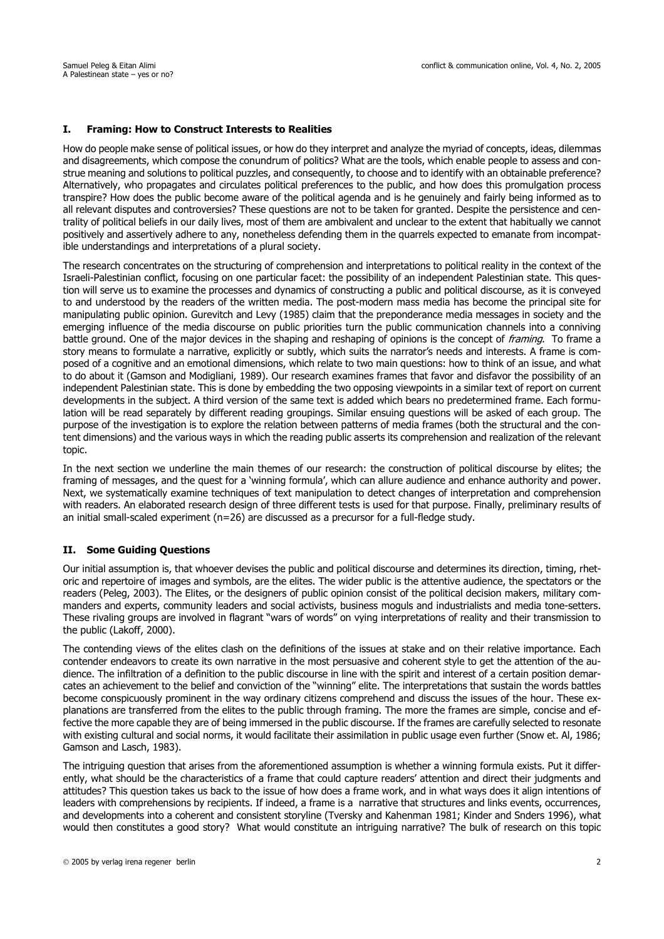# **I. Framing: How to Construct Interests to Realities**

How do people make sense of political issues, or how do they interpret and analyze the myriad of concepts, ideas, dilemmas and disagreements, which compose the conundrum of politics? What are the tools, which enable people to assess and construe meaning and solutions to political puzzles, and consequently, to choose and to identify with an obtainable preference? Alternatively, who propagates and circulates political preferences to the public, and how does this promulgation process transpire? How does the public become aware of the political agenda and is he genuinely and fairly being informed as to all relevant disputes and controversies? These questions are not to be taken for granted. Despite the persistence and centrality of political beliefs in our daily lives, most of them are ambivalent and unclear to the extent that habitually we cannot positively and assertively adhere to any, nonetheless defending them in the quarrels expected to emanate from incompatible understandings and interpretations of a plural society.

The research concentrates on the structuring of comprehension and interpretations to political reality in the context of the Israeli-Palestinian conflict, focusing on one particular facet: the possibility of an independent Palestinian state. This question will serve us to examine the processes and dynamics of constructing a public and political discourse, as it is conveyed to and understood by the readers of the written media. The post-modern mass media has become the principal site for manipulating public opinion. Gurevitch and Levy (1985) claim that the preponderance media messages in society and the emerging influence of the media discourse on public priorities turn the public communication channels into a conniving battle ground. One of the major devices in the shaping and reshaping of opinions is the concept of *framing*. To frame a story means to formulate a narrative, explicitly or subtly, which suits the narrator's needs and interests. A frame is composed of a cognitive and an emotional dimensions, which relate to two main questions: how to think of an issue, and what to do about it (Gamson and Modigliani, 1989). Our research examines frames that favor and disfavor the possibility of an independent Palestinian state. This is done by embedding the two opposing viewpoints in a similar text of report on current developments in the subject. A third version of the same text is added which bears no predetermined frame. Each formulation will be read separately by different reading groupings. Similar ensuing questions will be asked of each group. The purpose of the investigation is to explore the relation between patterns of media frames (both the structural and the content dimensions) and the various ways in which the reading public asserts its comprehension and realization of the relevant topic.

In the next section we underline the main themes of our research: the construction of political discourse by elites; the framing of messages, and the quest for a 'winning formula', which can allure audience and enhance authority and power. Next, we systematically examine techniques of text manipulation to detect changes of interpretation and comprehension with readers. An elaborated research design of three different tests is used for that purpose. Finally, preliminary results of an initial small-scaled experiment (n=26) are discussed as a precursor for a full-fledge study.

# **II. Some Guiding Questions**

Our initial assumption is, that whoever devises the public and political discourse and determines its direction, timing, rhetoric and repertoire of images and symbols, are the elites. The wider public is the attentive audience, the spectators or the readers (Peleg, 2003). The Elites, or the designers of public opinion consist of the political decision makers, military commanders and experts, community leaders and social activists, business moguls and industrialists and media tone-setters. These rivaling groups are involved in flagrant "wars of words" on vying interpretations of reality and their transmission to the public (Lakoff, 2000).

The contending views of the elites clash on the definitions of the issues at stake and on their relative importance. Each contender endeavors to create its own narrative in the most persuasive and coherent style to get the attention of the audience. The infiltration of a definition to the public discourse in line with the spirit and interest of a certain position demarcates an achievement to the belief and conviction of the "winning" elite. The interpretations that sustain the words battles become conspicuously prominent in the way ordinary citizens comprehend and discuss the issues of the hour. These explanations are transferred from the elites to the public through framing. The more the frames are simple, concise and effective the more capable they are of being immersed in the public discourse. If the frames are carefully selected to resonate with existing cultural and social norms, it would facilitate their assimilation in public usage even further (Snow et. Al, 1986; Gamson and Lasch, 1983).

The intriguing question that arises from the aforementioned assumption is whether a winning formula exists. Put it differently, what should be the characteristics of a frame that could capture readers' attention and direct their judgments and attitudes? This question takes us back to the issue of how does a frame work, and in what ways does it align intentions of leaders with comprehensions by recipients. If indeed, a frame is a narrative that structures and links events, occurrences, and developments into a coherent and consistent storyline (Tversky and Kahenman 1981; Kinder and Snders 1996), what would then constitutes a good story? What would constitute an intriguing narrative? The bulk of research on this topic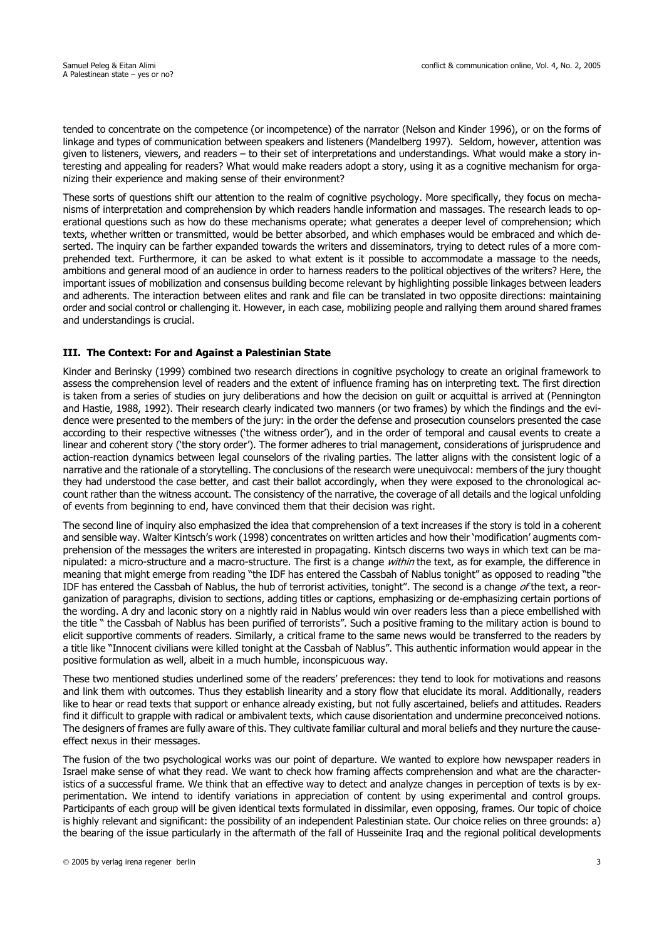tended to concentrate on the competence (or incompetence) of the narrator (Nelson and Kinder 1996), or on the forms of linkage and types of communication between speakers and listeners (Mandelberg 1997). Seldom, however, attention was given to listeners, viewers, and readers – to their set of interpretations and understandings. What would make a story interesting and appealing for readers? What would make readers adopt a story, using it as a cognitive mechanism for organizing their experience and making sense of their environment?

These sorts of questions shift our attention to the realm of cognitive psychology. More specifically, they focus on mechanisms of interpretation and comprehension by which readers handle information and massages. The research leads to operational questions such as how do these mechanisms operate; what generates a deeper level of comprehension; which texts, whether written or transmitted, would be better absorbed, and which emphases would be embraced and which deserted. The inquiry can be farther expanded towards the writers and disseminators, trying to detect rules of a more comprehended text. Furthermore, it can be asked to what extent is it possible to accommodate a massage to the needs, ambitions and general mood of an audience in order to harness readers to the political objectives of the writers? Here, the important issues of mobilization and consensus building become relevant by highlighting possible linkages between leaders and adherents. The interaction between elites and rank and file can be translated in two opposite directions: maintaining order and social control or challenging it. However, in each case, mobilizing people and rallying them around shared frames and understandings is crucial.

# **III. The Context: For and Against a Palestinian State**

Kinder and Berinsky (1999) combined two research directions in cognitive psychology to create an original framework to assess the comprehension level of readers and the extent of influence framing has on interpreting text. The first direction is taken from a series of studies on jury deliberations and how the decision on guilt or acquittal is arrived at (Pennington and Hastie, 1988, 1992). Their research clearly indicated two manners (or two frames) by which the findings and the evidence were presented to the members of the jury: in the order the defense and prosecution counselors presented the case according to their respective witnesses ('the witness order'), and in the order of temporal and causal events to create a linear and coherent story ('the story order'). The former adheres to trial management, considerations of jurisprudence and action-reaction dynamics between legal counselors of the rivaling parties. The latter aligns with the consistent logic of a narrative and the rationale of a storytelling. The conclusions of the research were unequivocal: members of the jury thought they had understood the case better, and cast their ballot accordingly, when they were exposed to the chronological account rather than the witness account. The consistency of the narrative, the coverage of all details and the logical unfolding of events from beginning to end, have convinced them that their decision was right.

The second line of inquiry also emphasized the idea that comprehension of a text increases if the story is told in a coherent and sensible way. Walter Kintsch's work (1998) concentrates on written articles and how their 'modification' augments comprehension of the messages the writers are interested in propagating. Kintsch discerns two ways in which text can be manipulated: a micro-structure and a macro-structure. The first is a change within the text, as for example, the difference in meaning that might emerge from reading "the IDF has entered the Cassbah of Nablus tonight" as opposed to reading "the IDF has entered the Cassbah of Nablus, the hub of terrorist activities, tonight". The second is a change of the text, a reorganization of paragraphs, division to sections, adding titles or captions, emphasizing or de-emphasizing certain portions of the wording. A dry and laconic story on a nightly raid in Nablus would win over readers less than a piece embellished with the title " the Cassbah of Nablus has been purified of terrorists". Such a positive framing to the military action is bound to elicit supportive comments of readers. Similarly, a critical frame to the same news would be transferred to the readers by a title like "Innocent civilians were killed tonight at the Cassbah of Nablus". This authentic information would appear in the positive formulation as well, albeit in a much humble, inconspicuous way.

These two mentioned studies underlined some of the readers' preferences: they tend to look for motivations and reasons and link them with outcomes. Thus they establish linearity and a story flow that elucidate its moral. Additionally, readers like to hear or read texts that support or enhance already existing, but not fully ascertained, beliefs and attitudes. Readers find it difficult to grapple with radical or ambivalent texts, which cause disorientation and undermine preconceived notions. The designers of frames are fully aware of this. They cultivate familiar cultural and moral beliefs and they nurture the causeeffect nexus in their messages.

The fusion of the two psychological works was our point of departure. We wanted to explore how newspaper readers in Israel make sense of what they read. We want to check how framing affects comprehension and what are the characteristics of a successful frame. We think that an effective way to detect and analyze changes in perception of texts is by experimentation. We intend to identify variations in appreciation of content by using experimental and control groups. Participants of each group will be given identical texts formulated in dissimilar, even opposing, frames. Our topic of choice is highly relevant and significant: the possibility of an independent Palestinian state. Our choice relies on three grounds: a) the bearing of the issue particularly in the aftermath of the fall of Husseinite Iraq and the regional political developments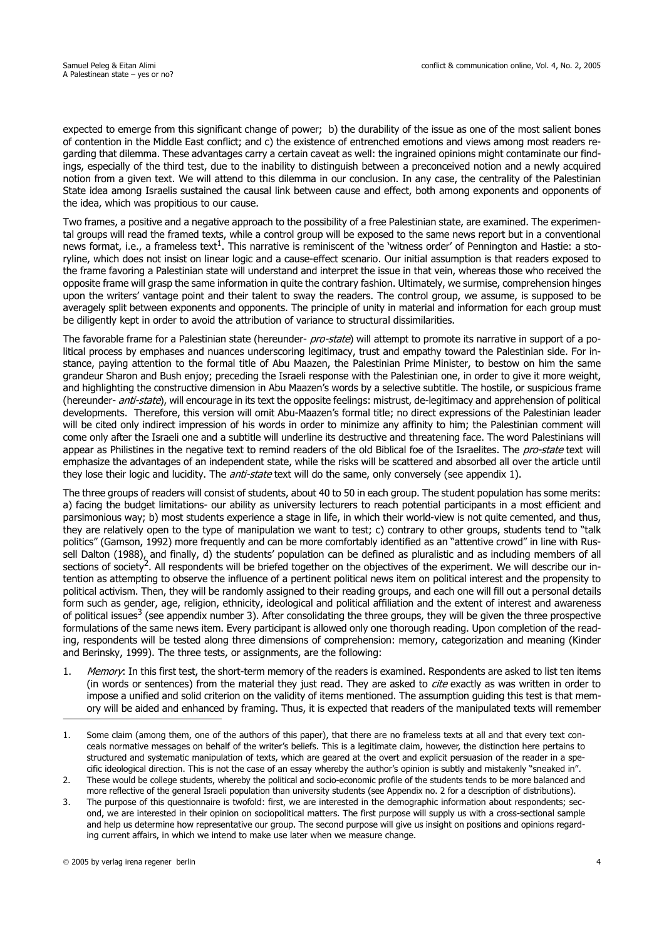expected to emerge from this significant change of power; b) the durability of the issue as one of the most salient bones of contention in the Middle East conflict; and c) the existence of entrenched emotions and views among most readers regarding that dilemma. These advantages carry a certain caveat as well: the ingrained opinions might contaminate our findings, especially of the third test, due to the inability to distinguish between a preconceived notion and a newly acquired notion from a given text. We will attend to this dilemma in our conclusion. In any case, the centrality of the Palestinian State idea among Israelis sustained the causal link between cause and effect, both among exponents and opponents of the idea, which was propitious to our cause.

Two frames, a positive and a negative approach to the possibility of a free Palestinian state, are examined. The experimental groups will read the framed texts, while a control group will be exposed to the same news report but in a conventional news format, i.e., a frameless text<sup>1</sup>. This narrative is reminiscent of the 'witness order' of Pennington and Hastie: a storyline, which does not insist on linear logic and a cause-effect scenario. Our initial assumption is that readers exposed to the frame favoring a Palestinian state will understand and interpret the issue in that vein, whereas those who received the opposite frame will grasp the same information in quite the contrary fashion. Ultimately, we surmise, comprehension hinges upon the writers' vantage point and their talent to sway the readers. The control group, we assume, is supposed to be averagely split between exponents and opponents. The principle of unity in material and information for each group must be diligently kept in order to avoid the attribution of variance to structural dissimilarities.

The favorable frame for a Palestinian state (hereunder- pro-state) will attempt to promote its narrative in support of a political process by emphases and nuances underscoring legitimacy, trust and empathy toward the Palestinian side. For instance, paying attention to the formal title of Abu Maazen, the Palestinian Prime Minister, to bestow on him the same grandeur Sharon and Bush enjoy; preceding the Israeli response with the Palestinian one, in order to give it more weight, and highlighting the constructive dimension in Abu Maazen's words by a selective subtitle. The hostile, or suspicious frame (hereunder- *anti-state*), will encourage in its text the opposite feelings: mistrust, de-legitimacy and apprehension of political developments. Therefore, this version will omit Abu-Maazen's formal title; no direct expressions of the Palestinian leader will be cited only indirect impression of his words in order to minimize any affinity to him; the Palestinian comment will come only after the Israeli one and a subtitle will underline its destructive and threatening face. The word Palestinians will appear as Philistines in the negative text to remind readers of the old Biblical foe of the Israelites. The pro-state text will emphasize the advantages of an independent state, while the risks will be scattered and absorbed all over the article until they lose their logic and lucidity. The *anti-state* text will do the same, only conversely (see appendix 1).

The three groups of readers will consist of students, about 40 to 50 in each group. The student population has some merits: a) facing the budget limitations- our ability as university lecturers to reach potential participants in a most efficient and parsimonious way; b) most students experience a stage in life, in which their world-view is not quite cemented, and thus, they are relatively open to the type of manipulation we want to test; c) contrary to other groups, students tend to "talk politics" (Gamson, 1992) more frequently and can be more comfortably identified as an "attentive crowd" in line with Russell Dalton (1988), and finally, d) the students' population can be defined as pluralistic and as including members of all sections of society<sup>2</sup>. All respondents will be briefed together on the objectives of the experiment. We will describe our intention as attempting to observe the influence of a pertinent political news item on political interest and the propensity to political activism. Then, they will be randomly assigned to their reading groups, and each one will fill out a personal details form such as gender, age, religion, ethnicity, ideological and political affiliation and the extent of interest and awareness of political issues<sup>3</sup> (see appendix number 3). After consolidating the three groups, they will be given the three prospective formulations of the same news item. Every participant is allowed only one thorough reading. Upon completion of the reading, respondents will be tested along three dimensions of comprehension: memory, categorization and meaning (Kinder and Berinsky, 1999). The three tests, or assignments, are the following:

1. Memory: In this first test, the short-term memory of the readers is examined. Respondents are asked to list ten items (in words or sentences) from the material they just read. They are asked to cite exactly as was written in order to impose a unified and solid criterion on the validity of items mentioned. The assumption guiding this test is that memory will be aided and enhanced by framing. Thus, it is expected that readers of the manipulated texts will remember

<sup>1.</sup> Some claim (among them, one of the authors of this paper), that there are no frameless texts at all and that every text conceals normative messages on behalf of the writer's beliefs. This is a legitimate claim, however, the distinction here pertains to structured and systematic manipulation of texts, which are geared at the overt and explicit persuasion of the reader in a specific ideological direction. This is not the case of an essay whereby the author's opinion is subtly and mistakenly "sneaked in".

<sup>2.</sup> These would be college students, whereby the political and socio-economic profile of the students tends to be more balanced and more reflective of the general Israeli population than university students (see Appendix no. 2 for a description of distributions).

<sup>3.</sup> The purpose of this questionnaire is twofold: first, we are interested in the demographic information about respondents; second, we are interested in their opinion on sociopolitical matters. The first purpose will supply us with a cross-sectional sample and help us determine how representative our group. The second purpose will give us insight on positions and opinions regarding current affairs, in which we intend to make use later when we measure change.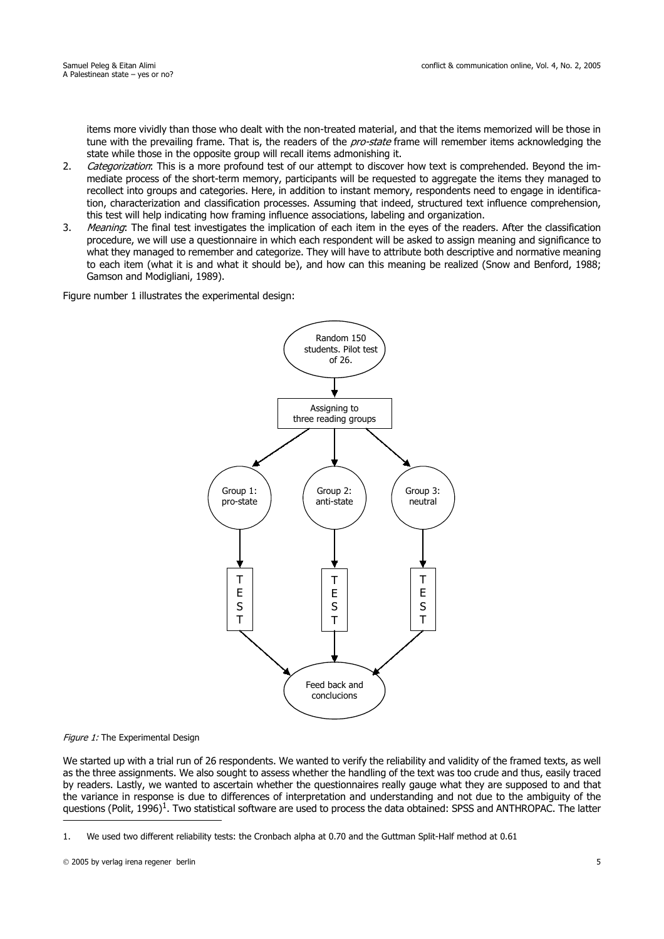items more vividly than those who dealt with the non-treated material, and that the items memorized will be those in tune with the prevailing frame. That is, the readers of the *pro-state* frame will remember items acknowledging the state while those in the opposite group will recall items admonishing it.

- 2. Categorization: This is a more profound test of our attempt to discover how text is comprehended. Beyond the immediate process of the short-term memory, participants will be requested to aggregate the items they managed to recollect into groups and categories. Here, in addition to instant memory, respondents need to engage in identification, characterization and classification processes. Assuming that indeed, structured text influence comprehension, this test will help indicating how framing influence associations, labeling and organization.
- 3. Meaning: The final test investigates the implication of each item in the eyes of the readers. After the classification procedure, we will use a questionnaire in which each respondent will be asked to assign meaning and significance to what they managed to remember and categorize. They will have to attribute both descriptive and normative meaning to each item (what it is and what it should be), and how can this meaning be realized (Snow and Benford, 1988; Gamson and Modigliani, 1989).

Figure number 1 illustrates the experimental design:



#### Figure 1: The Experimental Design

We started up with a trial run of 26 respondents. We wanted to verify the reliability and validity of the framed texts, as well as the three assignments. We also sought to assess whether the handling of the text was too crude and thus, easily traced by readers. Lastly, we wanted to ascertain whether the questionnaires really gauge what they are supposed to and that the variance in response is due to differences of interpretation and understanding and not due to the ambiguity of the questions (Polit, 1996)<sup>1</sup>. Two statistical software are used to process the data obtained: SPSS and ANTHROPAC. The latter

<sup>1.</sup> We used two different reliability tests: the Cronbach alpha at 0.70 and the Guttman Split-Half method at 0.61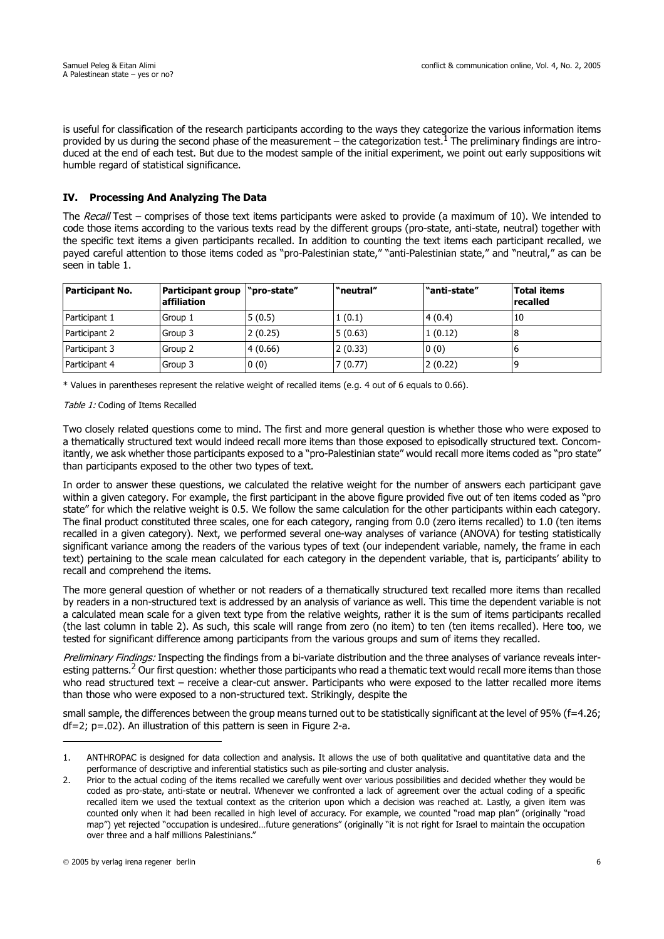is useful for classification of the research participants according to the ways they categorize the various information items provided by us during the second phase of the measurement – the categorization test.<sup>1</sup> The preliminary findings are introduced at the end of each test. But due to the modest sample of the initial experiment, we point out early suppositions wit humble regard of statistical significance.

# **IV. Processing And Analyzing The Data**

The Recall Test – comprises of those text items participants were asked to provide (a maximum of 10). We intended to code those items according to the various texts read by the different groups (pro-state, anti-state, neutral) together with the specific text items a given participants recalled. In addition to counting the text items each participant recalled, we payed careful attention to those items coded as "pro-Palestinian state," "anti-Palestinian state," and "neutral," as can be seen in table 1.

| Participant No. | Participant group   "pro-state"<br>laffiliation |         | "neutral" | "anti-state" | <b>Total items</b><br>recalled |
|-----------------|-------------------------------------------------|---------|-----------|--------------|--------------------------------|
| Participant 1   | Group 1                                         | 5(0.5)  | 1(0.1)    | 4(0.4)       | 10                             |
| Participant 2   | Group 3                                         | 2(0.25) | 5(0.63)   | 1(0.12)      |                                |
| Participant 3   | Group 2                                         | 4(0.66) | 2(0.33)   | 0(0)         |                                |
| Participant 4   | Group 3                                         | 0(0)    | 7(0.77)   | 2(0.22)      |                                |

\* Values in parentheses represent the relative weight of recalled items (e.g. 4 out of 6 equals to 0.66).

### Table 1: Coding of Items Recalled

Two closely related questions come to mind. The first and more general question is whether those who were exposed to a thematically structured text would indeed recall more items than those exposed to episodically structured text. Concomitantly, we ask whether those participants exposed to a "pro-Palestinian state" would recall more items coded as "pro state" than participants exposed to the other two types of text.

In order to answer these questions, we calculated the relative weight for the number of answers each participant gave within a given category. For example, the first participant in the above figure provided five out of ten items coded as "pro state" for which the relative weight is 0.5. We follow the same calculation for the other participants within each category. The final product constituted three scales, one for each category, ranging from 0.0 (zero items recalled) to 1.0 (ten items recalled in a given category). Next, we performed several one-way analyses of variance (ANOVA) for testing statistically significant variance among the readers of the various types of text (our independent variable, namely, the frame in each text) pertaining to the scale mean calculated for each category in the dependent variable, that is, participants' ability to recall and comprehend the items.

The more general question of whether or not readers of a thematically structured text recalled more items than recalled by readers in a non-structured text is addressed by an analysis of variance as well. This time the dependent variable is not a calculated mean scale for a given text type from the relative weights, rather it is the sum of items participants recalled (the last column in table 2). As such, this scale will range from zero (no item) to ten (ten items recalled). Here too, we tested for significant difference among participants from the various groups and sum of items they recalled.

Preliminary Findings: Inspecting the findings from a bi-variate distribution and the three analyses of variance reveals interesting patterns.<sup>2</sup> Our first question: whether those participants who read a thematic text would recall more items than those who read structured text – receive a clear-cut answer. Participants who were exposed to the latter recalled more items than those who were exposed to a non-structured text. Strikingly, despite the

small sample, the differences between the group means turned out to be statistically significant at the level of 95% (f=4.26; df=2; p=.02). An illustration of this pattern is seen in Figure 2-a.

<sup>1.</sup> ANTHROPAC is designed for data collection and analysis. It allows the use of both qualitative and quantitative data and the performance of descriptive and inferential statistics such as pile-sorting and cluster analysis.

<sup>2.</sup> Prior to the actual coding of the items recalled we carefully went over various possibilities and decided whether they would be coded as pro-state, anti-state or neutral. Whenever we confronted a lack of agreement over the actual coding of a specific recalled item we used the textual context as the criterion upon which a decision was reached at. Lastly, a given item was counted only when it had been recalled in high level of accuracy. For example, we counted "road map plan" (originally "road map") yet rejected "occupation is undesired…future generations" (originally "it is not right for Israel to maintain the occupation over three and a half millions Palestinians."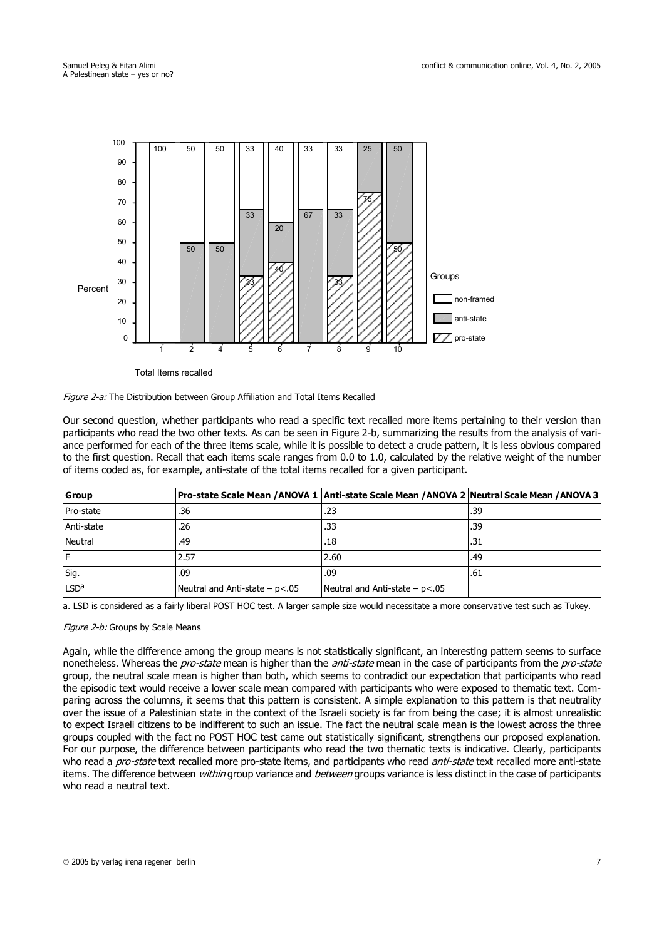

Total Items recalled



Our second question, whether participants who read a specific text recalled more items pertaining to their version than participants who read the two other texts. As can be seen in Figure 2-b, summarizing the results from the analysis of variance performed for each of the three items scale, while it is possible to detect a crude pattern, it is less obvious compared to the first question. Recall that each items scale ranges from 0.0 to 1.0, calculated by the relative weight of the number of items coded as, for example, anti-state of the total items recalled for a given participant.

| Group            |                                     | Pro-state Scale Mean /ANOVA 1  Anti-state Scale Mean /ANOVA 2   Neutral Scale Mean /ANOVA 3 |     |
|------------------|-------------------------------------|---------------------------------------------------------------------------------------------|-----|
| Pro-state        | .36                                 | .23                                                                                         | .39 |
| Anti-state       | .26                                 | .33                                                                                         | .39 |
| Neutral          | .49                                 | .18                                                                                         | .31 |
| IF               | 2.57                                | 2.60                                                                                        | .49 |
| Sig.             | .09                                 | .09                                                                                         | .61 |
| LSD <sup>a</sup> | Neutral and Anti-state $- p < 0.05$ | Neutral and Anti-state $- p < .05$                                                          |     |

a. LSD is considered as a fairly liberal POST HOC test. A larger sample size would necessitate a more conservative test such as Tukey.

#### Figure 2-b: Groups by Scale Means

Again, while the difference among the group means is not statistically significant, an interesting pattern seems to surface nonetheless. Whereas the *pro-state* mean is higher than the *anti-state* mean in the case of participants from the *pro-state* group, the neutral scale mean is higher than both, which seems to contradict our expectation that participants who read the episodic text would receive a lower scale mean compared with participants who were exposed to thematic text. Comparing across the columns, it seems that this pattern is consistent. A simple explanation to this pattern is that neutrality over the issue of a Palestinian state in the context of the Israeli society is far from being the case; it is almost unrealistic to expect Israeli citizens to be indifferent to such an issue. The fact the neutral scale mean is the lowest across the three groups coupled with the fact no POST HOC test came out statistically significant, strengthens our proposed explanation. For our purpose, the difference between participants who read the two thematic texts is indicative. Clearly, participants who read a *pro-state* text recalled more pro-state items, and participants who read *anti-state* text recalled more anti-state items. The difference between within group variance and between groups variance is less distinct in the case of participants who read a neutral text.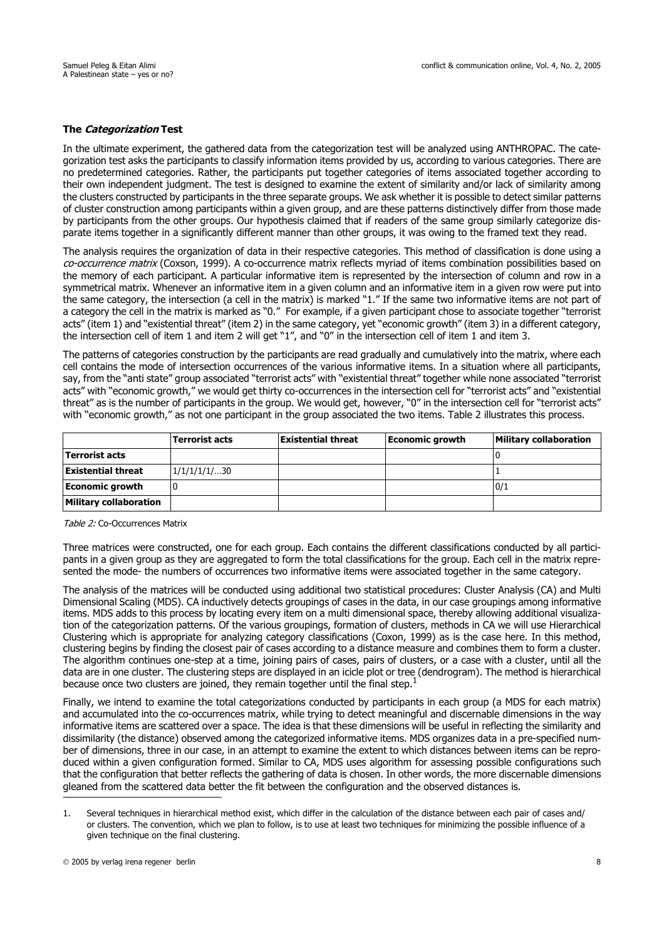## **The Categorization Test**

In the ultimate experiment, the gathered data from the categorization test will be analyzed using ANTHROPAC. The categorization test asks the participants to classify information items provided by us, according to various categories. There are no predetermined categories. Rather, the participants put together categories of items associated together according to their own independent judgment. The test is designed to examine the extent of similarity and/or lack of similarity among the clusters constructed by participants in the three separate groups. We ask whether it is possible to detect similar patterns of cluster construction among participants within a given group, and are these patterns distinctively differ from those made by participants from the other groups. Our hypothesis claimed that if readers of the same group similarly categorize disparate items together in a significantly different manner than other groups, it was owing to the framed text they read.

The analysis requires the organization of data in their respective categories. This method of classification is done using a co-occurrence matrix (Coxson, 1999). A co-occurrence matrix reflects myriad of items combination possibilities based on the memory of each participant. A particular informative item is represented by the intersection of column and row in a symmetrical matrix. Whenever an informative item in a given column and an informative item in a given row were put into the same category, the intersection (a cell in the matrix) is marked "1." If the same two informative items are not part of a category the cell in the matrix is marked as "0." For example, if a given participant chose to associate together "terrorist acts" (item 1) and "existential threat" (item 2) in the same category, yet "economic growth" (item 3) in a different category, the intersection cell of item 1 and item 2 will get "1", and "0" in the intersection cell of item 1 and item 3.

The patterns of categories construction by the participants are read gradually and cumulatively into the matrix, where each cell contains the mode of intersection occurrences of the various informative items. In a situation where all participants, say, from the "anti state" group associated "terrorist acts" with "existential threat" together while none associated "terrorist acts" with "economic growth," we would get thirty co-occurrences in the intersection cell for "terrorist acts" and "existential threat" as is the number of participants in the group. We would get, however, "0" in the intersection cell for "terrorist acts" with "economic growth," as not one participant in the group associated the two items. Table 2 illustrates this process.

|                               | <b>Terrorist acts</b> | <b>Existential threat</b> | <b>Economic growth</b> | <b>Military collaboration</b> |
|-------------------------------|-----------------------|---------------------------|------------------------|-------------------------------|
| <b>Terrorist acts</b>         |                       |                           |                        |                               |
| <b>Existential threat</b>     | 1/1/1/1/1/30          |                           |                        |                               |
| <b>Economic growth</b>        |                       |                           |                        | 0/1                           |
| <b>Military collaboration</b> |                       |                           |                        |                               |

Table 2: Co-Occurrences Matrix

Three matrices were constructed, one for each group. Each contains the different classifications conducted by all participants in a given group as they are aggregated to form the total classifications for the group. Each cell in the matrix represented the mode- the numbers of occurrences two informative items were associated together in the same category.

The analysis of the matrices will be conducted using additional two statistical procedures: Cluster Analysis (CA) and Multi Dimensional Scaling (MDS). CA inductively detects groupings of cases in the data, in our case groupings among informative items. MDS adds to this process by locating every item on a multi dimensional space, thereby allowing additional visualization of the categorization patterns. Of the various groupings, formation of clusters, methods in CA we will use Hierarchical Clustering which is appropriate for analyzing category classifications (Coxon, 1999) as is the case here. In this method, clustering begins by finding the closest pair of cases according to a distance measure and combines them to form a cluster. The algorithm continues one-step at a time, joining pairs of cases, pairs of clusters, or a case with a cluster, until all the data are in one cluster. The clustering steps are displayed in an icicle plot or tree (dendrogram). The method is hierarchical because once two clusters are joined, they remain together until the final step.<sup>1</sup>

Finally, we intend to examine the total categorizations conducted by participants in each group (a MDS for each matrix) and accumulated into the co-occurrences matrix, while trying to detect meaningful and discernable dimensions in the way informative items are scattered over a space. The idea is that these dimensions will be useful in reflecting the similarity and dissimilarity (the distance) observed among the categorized informative items. MDS organizes data in a pre-specified number of dimensions, three in our case, in an attempt to examine the extent to which distances between items can be reproduced within a given configuration formed. Similar to CA, MDS uses algorithm for assessing possible configurations such that the configuration that better reflects the gathering of data is chosen. In other words, the more discernable dimensions gleaned from the scattered data better the fit between the configuration and the observed distances is.

<sup>1.</sup> Several techniques in hierarchical method exist, which differ in the calculation of the distance between each pair of cases and/ or clusters. The convention, which we plan to follow, is to use at least two techniques for minimizing the possible influence of a given technique on the final clustering.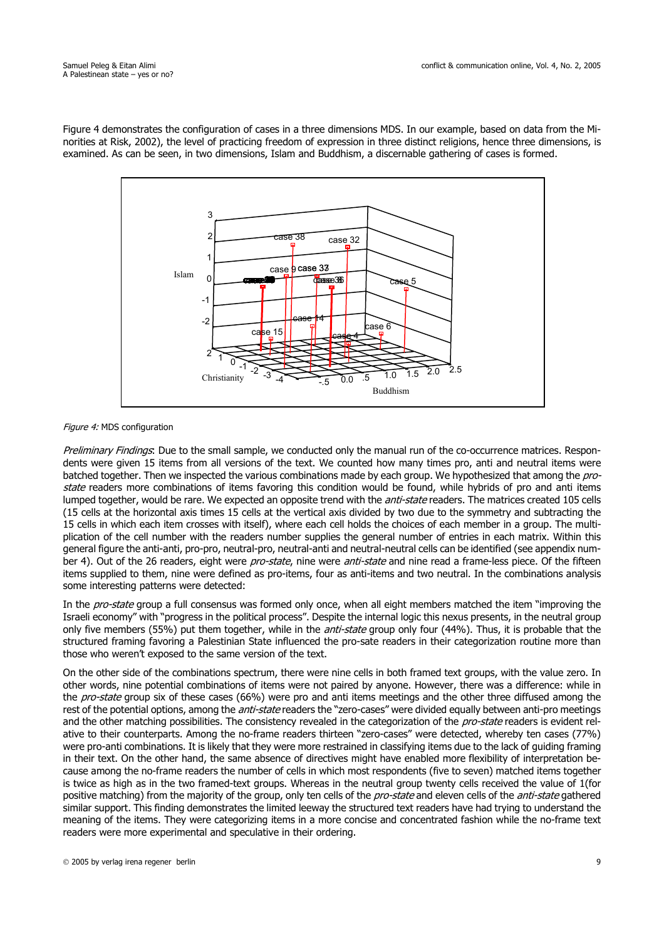Figure 4 demonstrates the configuration of cases in a three dimensions MDS. In our example, based on data from the Minorities at Risk, 2002), the level of practicing freedom of expression in three distinct religions, hence three dimensions, is examined. As can be seen, in two dimensions, Islam and Buddhism, a discernable gathering of cases is formed.



#### Figure 4: MDS configuration

Preliminary Findings: Due to the small sample, we conducted only the manual run of the co-occurrence matrices. Respondents were given 15 items from all versions of the text. We counted how many times pro, anti and neutral items were batched together. Then we inspected the various combinations made by each group. We hypothesized that among the *pro*state readers more combinations of items favoring this condition would be found, while hybrids of pro and anti items lumped together, would be rare. We expected an opposite trend with the *anti-state* readers. The matrices created 105 cells (15 cells at the horizontal axis times 15 cells at the vertical axis divided by two due to the symmetry and subtracting the 15 cells in which each item crosses with itself), where each cell holds the choices of each member in a group. The multiplication of the cell number with the readers number supplies the general number of entries in each matrix. Within this general figure the anti-anti, pro-pro, neutral-pro, neutral-anti and neutral-neutral cells can be identified (see appendix number 4). Out of the 26 readers, eight were pro-state, nine were anti-state and nine read a frame-less piece. Of the fifteen items supplied to them, nine were defined as pro-items, four as anti-items and two neutral. In the combinations analysis some interesting patterns were detected:

In the *pro-state* group a full consensus was formed only once, when all eight members matched the item "improving the Israeli economy" with "progress in the political process". Despite the internal logic this nexus presents, in the neutral group only five members (55%) put them together, while in the *anti-state* group only four (44%). Thus, it is probable that the structured framing favoring a Palestinian State influenced the pro-sate readers in their categorization routine more than those who weren't exposed to the same version of the text.

On the other side of the combinations spectrum, there were nine cells in both framed text groups, with the value zero. In other words, nine potential combinations of items were not paired by anyone. However, there was a difference: while in the *pro-state* group six of these cases (66%) were pro and anti items meetings and the other three diffused among the rest of the potential options, among the *anti-state* readers the "zero-cases" were divided equally between anti-pro meetings and the other matching possibilities. The consistency revealed in the categorization of the pro-state readers is evident relative to their counterparts. Among the no-frame readers thirteen "zero-cases" were detected, whereby ten cases (77%) were pro-anti combinations. It is likely that they were more restrained in classifying items due to the lack of guiding framing in their text. On the other hand, the same absence of directives might have enabled more flexibility of interpretation because among the no-frame readers the number of cells in which most respondents (five to seven) matched items together is twice as high as in the two framed-text groups. Whereas in the neutral group twenty cells received the value of 1(for positive matching) from the majority of the group, only ten cells of the pro-state and eleven cells of the anti-state gathered similar support. This finding demonstrates the limited leeway the structured text readers have had trying to understand the meaning of the items. They were categorizing items in a more concise and concentrated fashion while the no-frame text readers were more experimental and speculative in their ordering.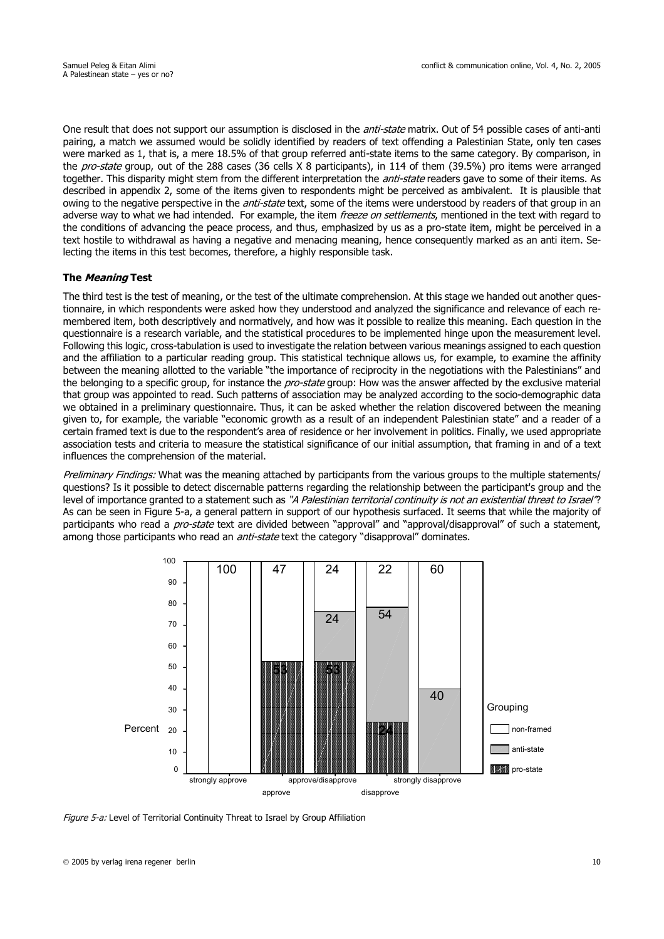One result that does not support our assumption is disclosed in the *anti-state* matrix. Out of 54 possible cases of anti-anti pairing, a match we assumed would be solidly identified by readers of text offending a Palestinian State, only ten cases were marked as 1, that is, a mere 18.5% of that group referred anti-state items to the same category. By comparison, in the *pro-state* group, out of the 288 cases (36 cells X 8 participants), in 114 of them (39.5%) pro items were arranged together. This disparity might stem from the different interpretation the *anti-state* readers gave to some of their items. As described in appendix 2, some of the items given to respondents might be perceived as ambivalent. It is plausible that owing to the negative perspective in the *anti-state* text, some of the items were understood by readers of that group in an adverse way to what we had intended. For example, the item freeze on settlements, mentioned in the text with regard to the conditions of advancing the peace process, and thus, emphasized by us as a pro-state item, might be perceived in a text hostile to withdrawal as having a negative and menacing meaning, hence consequently marked as an anti item. Selecting the items in this test becomes, therefore, a highly responsible task.

### **The Meaning Test**

The third test is the test of meaning, or the test of the ultimate comprehension. At this stage we handed out another questionnaire, in which respondents were asked how they understood and analyzed the significance and relevance of each remembered item, both descriptively and normatively, and how was it possible to realize this meaning. Each question in the questionnaire is a research variable, and the statistical procedures to be implemented hinge upon the measurement level. Following this logic, cross-tabulation is used to investigate the relation between various meanings assigned to each question and the affiliation to a particular reading group. This statistical technique allows us, for example, to examine the affinity between the meaning allotted to the variable "the importance of reciprocity in the negotiations with the Palestinians" and the belonging to a specific group, for instance the *pro-state* group: How was the answer affected by the exclusive material that group was appointed to read. Such patterns of association may be analyzed according to the socio-demographic data we obtained in a preliminary questionnaire. Thus, it can be asked whether the relation discovered between the meaning given to, for example, the variable "economic growth as a result of an independent Palestinian state" and a reader of a certain framed text is due to the respondent's area of residence or her involvement in politics. Finally, we used appropriate association tests and criteria to measure the statistical significance of our initial assumption, that framing in and of a text influences the comprehension of the material.

Preliminary Findings: What was the meaning attached by participants from the various groups to the multiple statements/ questions? Is it possible to detect discernable patterns regarding the relationship between the participant's group and the level of importance granted to a statement such as "A Palestinian territorial continuity is not an existential threat to Israel"? As can be seen in Figure 5-a, a general pattern in support of our hypothesis surfaced. It seems that while the majority of participants who read a *pro-state* text are divided between "approval" and "approval/disapproval" of such a statement, among those participants who read an *anti-state* text the category "disapproval" dominates.



Figure 5-a: Level of Territorial Continuity Threat to Israel by Group Affiliation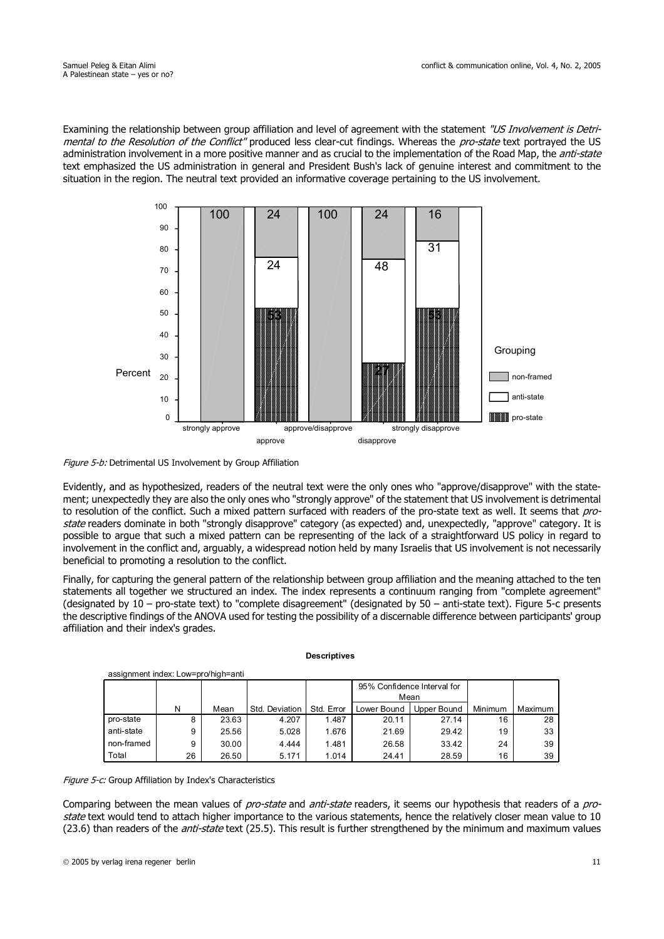Examining the relationship between group affiliation and level of agreement with the statement "US Involvement is Detrimental to the Resolution of the Conflict" produced less clear-cut findings. Whereas the pro-state text portraved the US administration involvement in a more positive manner and as crucial to the implementation of the Road Map, the *anti-state* text emphasized the US administration in general and President Bush's lack of genuine interest and commitment to the situation in the region. The neutral text provided an informative coverage pertaining to the US involvement.



Figure 5-b: Detrimental US Involvement by Group Affiliation

Evidently, and as hypothesized, readers of the neutral text were the only ones who "approve/disapprove" with the statement; unexpectedly they are also the only ones who "strongly approve" of the statement that US involvement is detrimental to resolution of the conflict. Such a mixed pattern surfaced with readers of the pro-state text as well. It seems that prostate readers dominate in both "strongly disapprove" category (as expected) and, unexpectedly, "approve" category. It is possible to argue that such a mixed pattern can be representing of the lack of a straightforward US policy in regard to involvement in the conflict and, arguably, a widespread notion held by many Israelis that US involvement is not necessarily beneficial to promoting a resolution to the conflict.

Finally, for capturing the general pattern of the relationship between group affiliation and the meaning attached to the ten statements all together we structured an index. The index represents a continuum ranging from "complete agreement" (designated by  $10 -$  pro-state text) to "complete disagreement" (designated by  $50 -$  anti-state text). Figure 5-c presents the descriptive findings of the ANOVA used for testing the possibility of a discernable difference between participants' group affiliation and their index's grades.

| assignment index: Low=pro/high=anti |                             |       |                |            |             |             |         |         |  |  |  |
|-------------------------------------|-----------------------------|-------|----------------|------------|-------------|-------------|---------|---------|--|--|--|
|                                     | 95% Confidence Interval for |       |                |            |             |             |         |         |  |  |  |
|                                     |                             |       |                |            |             | Mean        |         |         |  |  |  |
|                                     | N                           | Mean  | Std. Deviation | Std. Error | Lower Bound | Upper Bound | Minimum | Maximum |  |  |  |
| pro-state                           | 8                           | 23.63 | 4.207          | 1.487      | 20.11       | 27.14       | 16      | 28      |  |  |  |
| anti-state                          | 9                           | 25.56 | 5.028          | 1.676      | 21.69       | 29.42       | 19      | 33      |  |  |  |
| non-framed                          | 9                           | 30.00 | 4.444          | 1.481      | 26.58       | 33.42       | 24      | 39      |  |  |  |
| Total                               | 26                          | 26.50 | 5.171          | 1.014      | 24.41       | 28.59       | 16      | 39      |  |  |  |

**Descriptives**

Figure 5-c: Group Affiliation by Index's Characteristics

Comparing between the mean values of *pro-state* and *anti-state* readers, it seems our hypothesis that readers of a *pro*state text would tend to attach higher importance to the various statements, hence the relatively closer mean value to 10 (23.6) than readers of the *anti-state* text (25.5). This result is further strengthened by the minimum and maximum values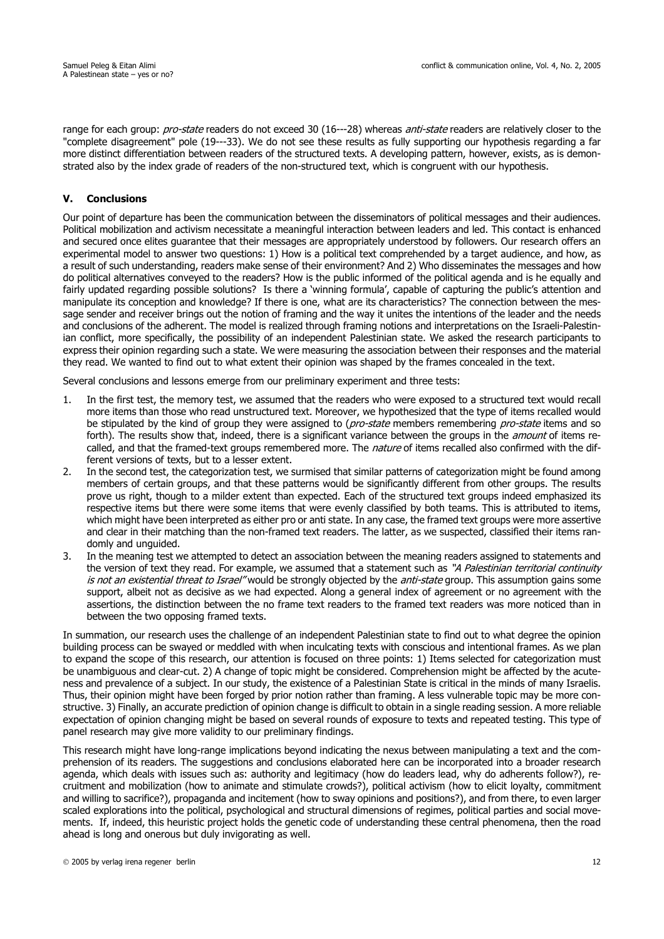range for each group: pro-state readers do not exceed 30 (16---28) whereas anti-state readers are relatively closer to the "complete disagreement" pole (19---33). We do not see these results as fully supporting our hypothesis regarding a far more distinct differentiation between readers of the structured texts. A developing pattern, however, exists, as is demonstrated also by the index grade of readers of the non-structured text, which is congruent with our hypothesis.

# **V. Conclusions**

Our point of departure has been the communication between the disseminators of political messages and their audiences. Political mobilization and activism necessitate a meaningful interaction between leaders and led. This contact is enhanced and secured once elites guarantee that their messages are appropriately understood by followers. Our research offers an experimental model to answer two questions: 1) How is a political text comprehended by a target audience, and how, as a result of such understanding, readers make sense of their environment? And 2) Who disseminates the messages and how do political alternatives conveyed to the readers? How is the public informed of the political agenda and is he equally and fairly updated regarding possible solutions? Is there a 'winning formula', capable of capturing the public's attention and manipulate its conception and knowledge? If there is one, what are its characteristics? The connection between the message sender and receiver brings out the notion of framing and the way it unites the intentions of the leader and the needs and conclusions of the adherent. The model is realized through framing notions and interpretations on the Israeli-Palestinian conflict, more specifically, the possibility of an independent Palestinian state. We asked the research participants to express their opinion regarding such a state. We were measuring the association between their responses and the material they read. We wanted to find out to what extent their opinion was shaped by the frames concealed in the text.

Several conclusions and lessons emerge from our preliminary experiment and three tests:

- 1. In the first test, the memory test, we assumed that the readers who were exposed to a structured text would recall more items than those who read unstructured text. Moreover, we hypothesized that the type of items recalled would be stipulated by the kind of group they were assigned to (*pro-state* members remembering *pro-state* items and so forth). The results show that, indeed, there is a significant variance between the groups in the *amount* of items recalled, and that the framed-text groups remembered more. The *nature* of items recalled also confirmed with the different versions of texts, but to a lesser extent.
- 2. In the second test, the categorization test, we surmised that similar patterns of categorization might be found among members of certain groups, and that these patterns would be significantly different from other groups. The results prove us right, though to a milder extent than expected. Each of the structured text groups indeed emphasized its respective items but there were some items that were evenly classified by both teams. This is attributed to items, which might have been interpreted as either pro or anti state. In any case, the framed text groups were more assertive and clear in their matching than the non-framed text readers. The latter, as we suspected, classified their items randomly and unguided.
- 3. In the meaning test we attempted to detect an association between the meaning readers assigned to statements and the version of text they read. For example, we assumed that a statement such as "A Palestinian territorial continuity is not an existential threat to Israel" would be strongly objected by the anti-state group. This assumption gains some support, albeit not as decisive as we had expected. Along a general index of agreement or no agreement with the assertions, the distinction between the no frame text readers to the framed text readers was more noticed than in between the two opposing framed texts.

In summation, our research uses the challenge of an independent Palestinian state to find out to what degree the opinion building process can be swayed or meddled with when inculcating texts with conscious and intentional frames. As we plan to expand the scope of this research, our attention is focused on three points: 1) Items selected for categorization must be unambiguous and clear-cut. 2) A change of topic might be considered. Comprehension might be affected by the acuteness and prevalence of a subject. In our study, the existence of a Palestinian State is critical in the minds of many Israelis. Thus, their opinion might have been forged by prior notion rather than framing. A less vulnerable topic may be more constructive. 3) Finally, an accurate prediction of opinion change is difficult to obtain in a single reading session. A more reliable expectation of opinion changing might be based on several rounds of exposure to texts and repeated testing. This type of panel research may give more validity to our preliminary findings.

This research might have long-range implications beyond indicating the nexus between manipulating a text and the comprehension of its readers. The suggestions and conclusions elaborated here can be incorporated into a broader research agenda, which deals with issues such as: authority and legitimacy (how do leaders lead, why do adherents follow?), recruitment and mobilization (how to animate and stimulate crowds?), political activism (how to elicit loyalty, commitment and willing to sacrifice?), propaganda and incitement (how to sway opinions and positions?), and from there, to even larger scaled explorations into the political, psychological and structural dimensions of regimes, political parties and social movements. If, indeed, this heuristic project holds the genetic code of understanding these central phenomena, then the road ahead is long and onerous but duly invigorating as well.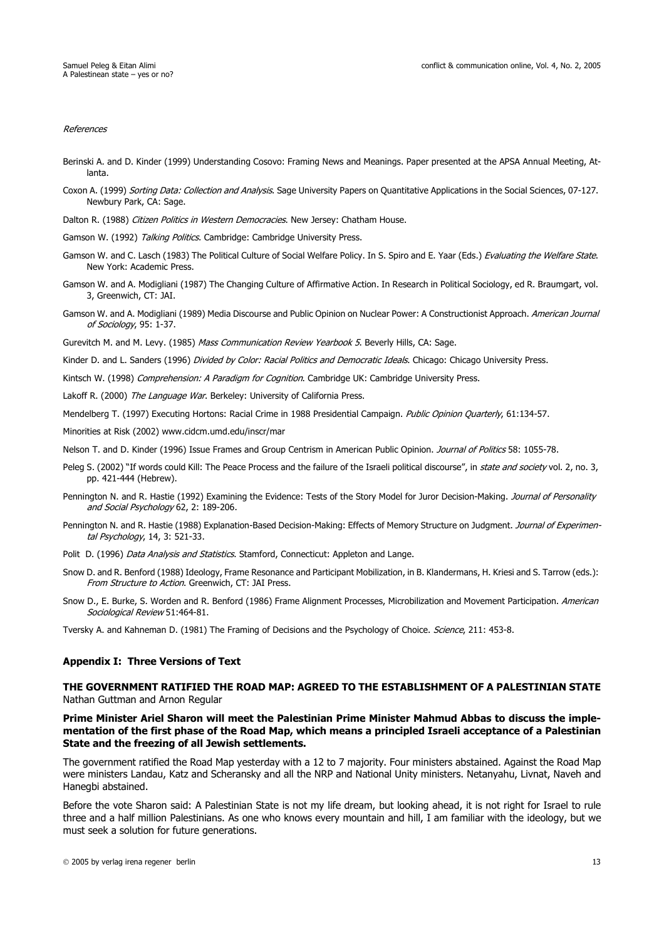#### References

- Berinski A. and D. Kinder (1999) Understanding Cosovo: Framing News and Meanings. Paper presented at the APSA Annual Meeting, Atlanta.
- Coxon A. (1999) Sorting Data: Collection and Analysis. Sage University Papers on Quantitative Applications in the Social Sciences, 07-127. Newbury Park, CA: Sage.
- Dalton R. (1988) Citizen Politics in Western Democracies. New Jersey: Chatham House.
- Gamson W. (1992) Talking Politics. Cambridge: Cambridge University Press.
- Gamson W. and C. Lasch (1983) The Political Culture of Social Welfare Policy. In S. Spiro and E. Yaar (Eds.) Evaluating the Welfare State. New York: Academic Press.
- Gamson W. and A. Modigliani (1987) The Changing Culture of Affirmative Action. In Research in Political Sociology, ed R. Braumgart, vol. 3, Greenwich, CT: JAI.
- Gamson W. and A. Modigliani (1989) Media Discourse and Public Opinion on Nuclear Power: A Constructionist Approach. American Journal of Sociology, 95: 1-37.
- Gurevitch M. and M. Levy. (1985) Mass Communication Review Yearbook 5. Beverly Hills, CA: Sage.
- Kinder D. and L. Sanders (1996) Divided by Color: Racial Politics and Democratic Ideals. Chicago: Chicago University Press.
- Kintsch W. (1998) Comprehension: A Paradigm for Cognition. Cambridge UK: Cambridge University Press.
- Lakoff R. (2000) The Language War. Berkeley: University of California Press.
- Mendelberg T. (1997) Executing Hortons: Racial Crime in 1988 Presidential Campaign. Public Opinion Quarterly, 61:134-57.
- Minorities at Risk (2002) www.cidcm.umd.edu/inscr/mar
- Nelson T. and D. Kinder (1996) Issue Frames and Group Centrism in American Public Opinion. Journal of Politics 58: 1055-78.
- Peleg S. (2002) "If words could Kill: The Peace Process and the failure of the Israeli political discourse", in state and society vol. 2, no. 3, pp. 421-444 (Hebrew).
- Pennington N. and R. Hastie (1992) Examining the Evidence: Tests of the Story Model for Juror Decision-Making. Journal of Personality and Social Psychology 62, 2: 189-206.
- Pennington N. and R. Hastie (1988) Explanation-Based Decision-Making: Effects of Memory Structure on Judgment. Journal of Experimental Psychology, 14, 3: 521-33.
- Polit D. (1996) Data Analysis and Statistics. Stamford, Connecticut: Appleton and Lange.
- Snow D. and R. Benford (1988) Ideology, Frame Resonance and Participant Mobilization, in B. Klandermans, H. Kriesi and S. Tarrow (eds.): From Structure to Action. Greenwich, CT: JAI Press.
- Snow D., E. Burke, S. Worden and R. Benford (1986) Frame Alignment Processes, Microbilization and Movement Participation. American Sociological Review 51:464-81.

Tversky A. and Kahneman D. (1981) The Framing of Decisions and the Psychology of Choice. Science, 211: 453-8.

#### **Appendix I: Three Versions of Text**

### **THE GOVERNMENT RATIFIED THE ROAD MAP: AGREED TO THE ESTABLISHMENT OF A PALESTINIAN STATE** Nathan Guttman and Arnon Regular

#### **Prime Minister Ariel Sharon will meet the Palestinian Prime Minister Mahmud Abbas to discuss the implementation of the first phase of the Road Map, which means a principled Israeli acceptance of a Palestinian State and the freezing of all Jewish settlements.**

The government ratified the Road Map yesterday with a 12 to 7 majority. Four ministers abstained. Against the Road Map were ministers Landau, Katz and Scheransky and all the NRP and National Unity ministers. Netanyahu, Livnat, Naveh and Hanegbi abstained.

Before the vote Sharon said: A Palestinian State is not my life dream, but looking ahead, it is not right for Israel to rule three and a half million Palestinians. As one who knows every mountain and hill, I am familiar with the ideology, but we must seek a solution for future generations.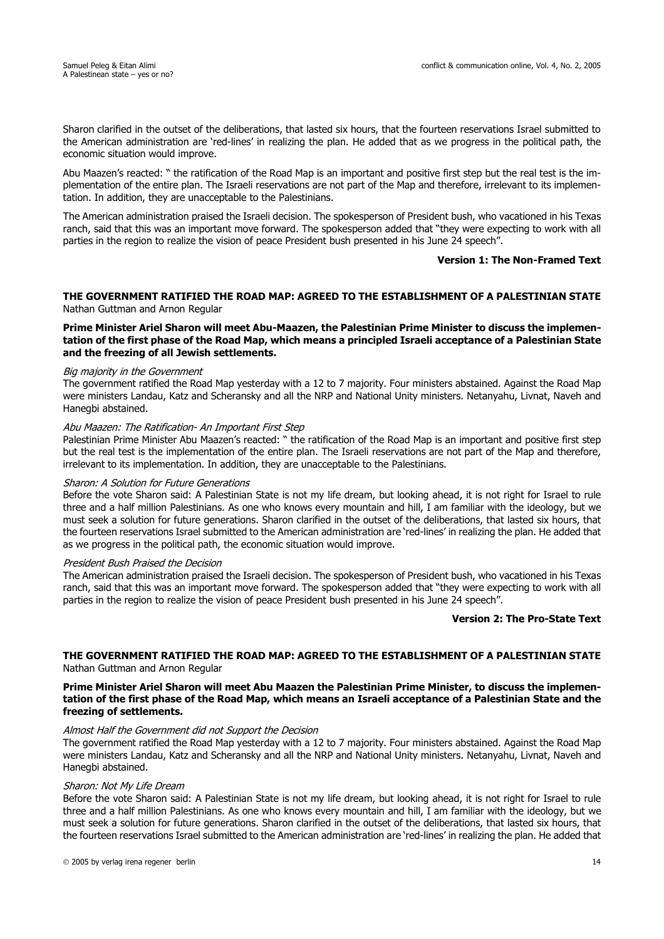Sharon clarified in the outset of the deliberations, that lasted six hours, that the fourteen reservations Israel submitted to the American administration are 'red-lines' in realizing the plan. He added that as we progress in the political path, the economic situation would improve.

Abu Maazen's reacted: " the ratification of the Road Map is an important and positive first step but the real test is the implementation of the entire plan. The Israeli reservations are not part of the Map and therefore, irrelevant to its implementation. In addition, they are unacceptable to the Palestinians.

The American administration praised the Israeli decision. The spokesperson of President bush, who vacationed in his Texas ranch, said that this was an important move forward. The spokesperson added that "they were expecting to work with all parties in the region to realize the vision of peace President bush presented in his June 24 speech".

#### **Version 1: The Non-Framed Text**

### **THE GOVERNMENT RATIFIED THE ROAD MAP: AGREED TO THE ESTABLISHMENT OF A PALESTINIAN STATE** Nathan Guttman and Arnon Regular

**Prime Minister Ariel Sharon will meet Abu-Maazen, the Palestinian Prime Minister to discuss the implementation of the first phase of the Road Map, which means a principled Israeli acceptance of a Palestinian State and the freezing of all Jewish settlements.** 

### Big majority in the Government

The government ratified the Road Map yesterday with a 12 to 7 majority. Four ministers abstained. Against the Road Map were ministers Landau, Katz and Scheransky and all the NRP and National Unity ministers. Netanyahu, Livnat, Naveh and Hanegbi abstained.

### Abu Maazen: The Ratification- An Important First Step

Palestinian Prime Minister Abu Maazen's reacted: " the ratification of the Road Map is an important and positive first step but the real test is the implementation of the entire plan. The Israeli reservations are not part of the Map and therefore, irrelevant to its implementation. In addition, they are unacceptable to the Palestinians.

### Sharon: A Solution for Future Generations

Before the vote Sharon said: A Palestinian State is not my life dream, but looking ahead, it is not right for Israel to rule three and a half million Palestinians. As one who knows every mountain and hill, I am familiar with the ideology, but we must seek a solution for future generations. Sharon clarified in the outset of the deliberations, that lasted six hours, that the fourteen reservations Israel submitted to the American administration are 'red-lines' in realizing the plan. He added that as we progress in the political path, the economic situation would improve.

#### President Bush Praised the Decision

The American administration praised the Israeli decision. The spokesperson of President bush, who vacationed in his Texas ranch, said that this was an important move forward. The spokesperson added that "they were expecting to work with all parties in the region to realize the vision of peace President bush presented in his June 24 speech".

#### **Version 2: The Pro-State Text**

### **THE GOVERNMENT RATIFIED THE ROAD MAP: AGREED TO THE ESTABLISHMENT OF A PALESTINIAN STATE** Nathan Guttman and Arnon Regular

### **Prime Minister Ariel Sharon will meet Abu Maazen the Palestinian Prime Minister, to discuss the implementation of the first phase of the Road Map, which means an Israeli acceptance of a Palestinian State and the freezing of settlements.**

### Almost Half the Government did not Support the Decision

The government ratified the Road Map yesterday with a 12 to 7 majority. Four ministers abstained. Against the Road Map were ministers Landau, Katz and Scheransky and all the NRP and National Unity ministers. Netanyahu, Livnat, Naveh and Hanegbi abstained.

#### Sharon: Not My Life Dream

Before the vote Sharon said: A Palestinian State is not my life dream, but looking ahead, it is not right for Israel to rule three and a half million Palestinians. As one who knows every mountain and hill, I am familiar with the ideology, but we must seek a solution for future generations. Sharon clarified in the outset of the deliberations, that lasted six hours, that the fourteen reservations Israel submitted to the American administration are 'red-lines' in realizing the plan. He added that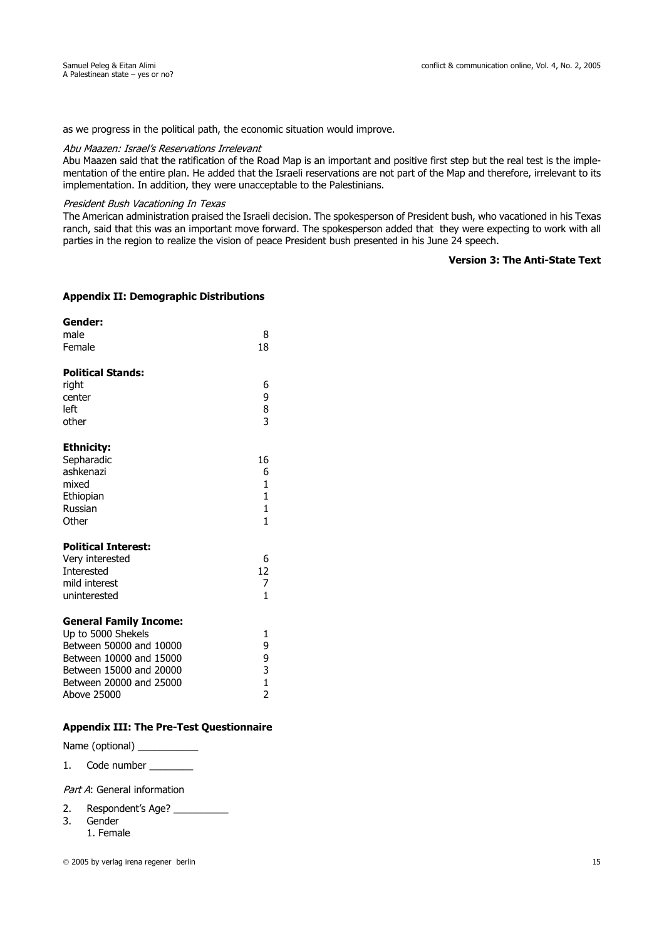as we progress in the political path, the economic situation would improve.

### Abu Maazen: Israel's Reservations Irrelevant

Abu Maazen said that the ratification of the Road Map is an important and positive first step but the real test is the implementation of the entire plan. He added that the Israeli reservations are not part of the Map and therefore, irrelevant to its implementation. In addition, they were unacceptable to the Palestinians.

# President Bush Vacationing In Texas

The American administration praised the Israeli decision. The spokesperson of President bush, who vacationed in his Texas ranch, said that this was an important move forward. The spokesperson added that they were expecting to work with all parties in the region to realize the vision of peace President bush presented in his June 24 speech.

# **Version 3: The Anti-State Text**

### **Appendix II: Demographic Distributions**

| Gender:<br>male<br>Female                                                                                                                                                      | 8<br>18                                 |
|--------------------------------------------------------------------------------------------------------------------------------------------------------------------------------|-----------------------------------------|
| <b>Political Stands:</b><br>right<br>center<br>left<br>other                                                                                                                   | 6<br>9<br>8<br>3                        |
| <b>Ethnicity:</b><br>Sepharadic<br>ashkenazi<br>mixed<br>Ethiopian<br>Russian<br>Other                                                                                         | 16<br>6<br>$\mathbf{1}$<br>1<br>1<br>1  |
| <b>Political Interest:</b><br>Very interested<br><b>Interested</b><br>mild interest<br>uninterested                                                                            | 6<br>12<br>7<br>1                       |
| <b>General Family Income:</b><br>Up to 5000 Shekels<br>Between 50000 and 10000<br>Between 10000 and 15000<br>Between 15000 and 20000<br>Between 20000 and 25000<br>Above 25000 | 1<br>9<br>9<br>3<br>1<br>$\overline{2}$ |

# **Appendix III: The Pre-Test Questionnaire**

Name (optional) \_\_\_\_\_\_\_\_\_\_\_\_\_

1. Code number

Part A: General information

- 2. Respondent's Age?
- 3. Gender
	- 1. Female

2005 by verlag irena regener berlin 15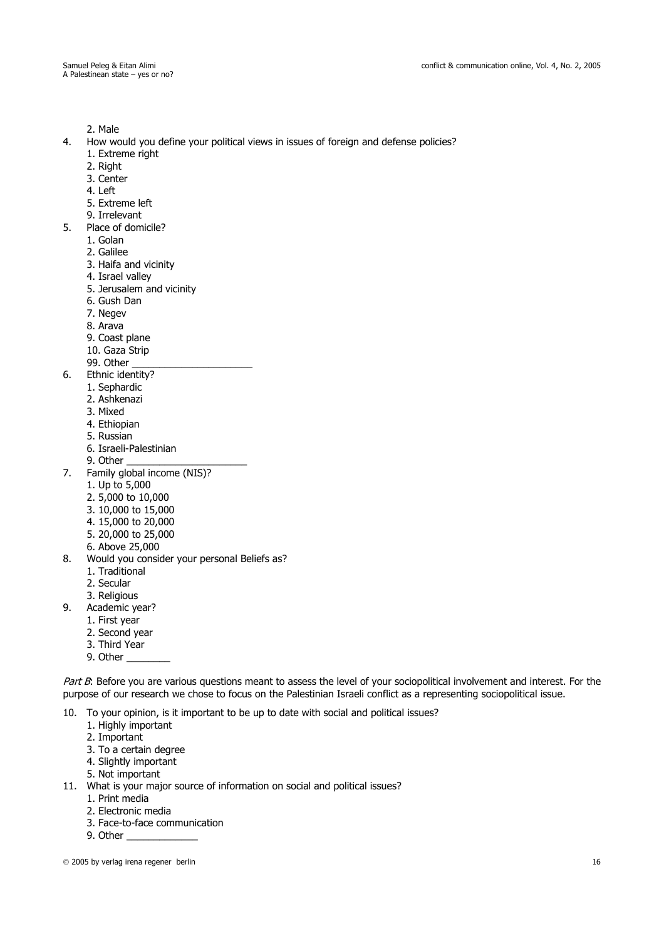2. Male

- 4. How would you define your political views in issues of foreign and defense policies?
	- 1. Extreme right
	- 2. Right
	- 3. Center
	- 4. Left
	- 5. Extreme left
	- 9. Irrelevant
- 5. Place of domicile?
	- 1. Golan
	- 2. Galilee
	- 3. Haifa and vicinity
	- 4. Israel valley
	- 5. Jerusalem and vicinity
	- 6. Gush Dan
	- 7. Negev
	- 8. Arava
	- 9. Coast plane
	- 10. Gaza Strip
	- 99. Other
- 6. Ethnic identity?
	- 1. Sephardic
	- 2. Ashkenazi
	- 3. Mixed
	- 4. Ethiopian
	- 5. Russian
	- 6. Israeli-Palestinian
	- 9. Other \_\_\_\_\_\_\_\_\_\_\_\_\_\_\_\_\_\_\_\_\_\_
- 7. Family global income (NIS)?
	- 1. Up to 5,000
	- 2. 5,000 to 10,000
	- 3. 10,000 to 15,000
	- 4. 15,000 to 20,000
	- 5. 20,000 to 25,000
	- 6. Above 25,000
- 8. Would you consider your personal Beliefs as?
	- 1. Traditional
	- 2. Secular
	- 3. Religious
- 9. Academic year?
	- 1. First year
		- 2. Second year
		- 3. Third Year
		- 9. Other

Part B: Before you are various questions meant to assess the level of your sociopolitical involvement and interest. For the purpose of our research we chose to focus on the Palestinian Israeli conflict as a representing sociopolitical issue.

10. To your opinion, is it important to be up to date with social and political issues?

- 1. Highly important
- 2. Important
- 3. To a certain degree
- 4. Slightly important
- 5. Not important
- 11. What is your major source of information on social and political issues?
	- 1. Print media
		- 2. Electronic media
		- 3. Face-to-face communication
		- 9. Other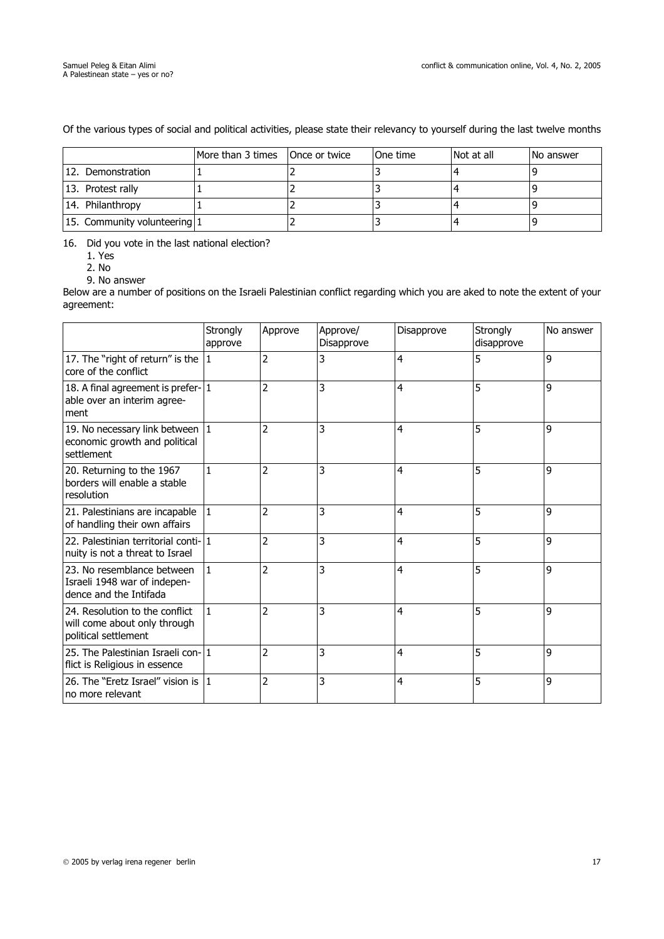|                              | More than 3 times   Once or twice | <b>IOne time</b> | Not at all | <b>No answer</b> |
|------------------------------|-----------------------------------|------------------|------------|------------------|
| 12. Demonstration            |                                   |                  |            |                  |
| 13. Protest rally            |                                   |                  |            |                  |
| 14. Philanthropy             |                                   |                  |            |                  |
| 15. Community volunteering 1 |                                   |                  |            |                  |

Of the various types of social and political activities, please state their relevancy to yourself during the last twelve months

16. Did you vote in the last national election?

1. Yes

2. No

9. No answer

Below are a number of positions on the Israeli Palestinian conflict regarding which you are aked to note the extent of your agreement:

|                                                                                        | Strongly<br>approve | Approve        | Approve/<br>Disapprove | Disapprove     | Strongly<br>disapprove | No answer |
|----------------------------------------------------------------------------------------|---------------------|----------------|------------------------|----------------|------------------------|-----------|
| 17. The "right of return" is the<br>core of the conflict                               | 1                   | 2              | 3                      | $\overline{4}$ | 5                      | 9         |
| 18. A final agreement is prefer-1<br>able over an interim agree-<br>ment               |                     | 2              | 3                      | $\overline{4}$ | 5                      | 9         |
| 19. No necessary link between<br>economic growth and political<br>settlement           |                     | 2              | 3                      | 4              | 5                      | 9         |
| 20. Returning to the 1967<br>borders will enable a stable<br>resolution                | $\mathbf{1}$        | $\overline{2}$ | 3                      | $\overline{4}$ | 5                      | 9         |
| 21. Palestinians are incapable<br>of handling their own affairs                        |                     | $\overline{2}$ | 3                      | 4              | 5                      | 9         |
| 22. Palestinian territorial conti-11<br>nuity is not a threat to Israel                |                     | $\overline{2}$ | 3                      | $\overline{4}$ | 5                      | 9         |
| 23. No resemblance between<br>Israeli 1948 war of indepen-<br>dence and the Intifada   | $\mathbf{1}$        | 2              | 3                      | $\overline{4}$ | 5                      | 9         |
| 24. Resolution to the conflict<br>will come about only through<br>political settlement | $\mathbf{1}$        | $\overline{2}$ | 3                      | $\overline{4}$ | 5                      | 9         |
| 25. The Palestinian Israeli con-11<br>flict is Religious in essence                    |                     | $\overline{2}$ | 3                      | $\overline{4}$ | 5                      | 9         |
| 26. The "Eretz Israel" vision is<br>no more relevant                                   | $\mathbf{1}$        | 2              | 3                      | $\overline{4}$ | 5                      | 9         |